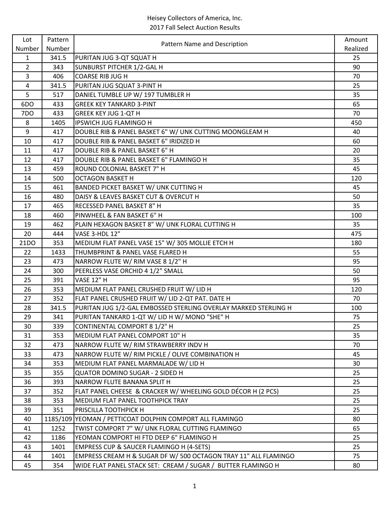| Lot            | Pattern | Pattern Name and Description                                    | Amount   |
|----------------|---------|-----------------------------------------------------------------|----------|
| Number         | Number  |                                                                 | Realized |
| $\mathbf{1}$   | 341.5   | PURITAN JUG 3-QT SQUAT H                                        | 25       |
| $\overline{2}$ | 343     | SUNBURST PITCHER 1/2-GAL H                                      | 90       |
| $\overline{3}$ | 406     | <b>COARSE RIB JUG H</b>                                         | 70       |
| $\overline{4}$ | 341.5   | PURITAN JUG SQUAT 3-PINT H                                      | 25       |
| 5              | 517     | DANIEL TUMBLE UP W/ 197 TUMBLER H                               | 35       |
| 6DO            | 433     | <b>GREEK KEY TANKARD 3-PINT</b>                                 | 65       |
| 7DO            | 433     | <b>GREEK KEY JUG 1-QT H</b>                                     | 70       |
| 8              | 1405    | IPSWICH JUG FLAMINGO H                                          | 450      |
| 9              | 417     | DOUBLE RIB & PANEL BASKET 6" W/ UNK CUTTING MOONGLEAM H         | 40       |
| 10             | 417     | DOUBLE RIB & PANEL BASKET 6" IRIDIZED H                         | 60       |
| 11             | 417     | DOUBLE RIB & PANEL BASKET 6" H                                  | 20       |
| 12             | 417     | DOUBLE RIB & PANEL BASKET 6" FLAMINGO H                         | 35       |
| 13             | 459     | ROUND COLONIAL BASKET 7" H                                      | 45       |
| 14             | 500     | <b>OCTAGON BASKET H</b>                                         | 120      |
| 15             | 461     | BANDED PICKET BASKET W/ UNK CUTTING H                           | 45       |
| 16             | 480     | DAISY & LEAVES BASKET CUT & OVERCUT H                           | 50       |
| 17             | 465     | RECESSED PANEL BASKET 8" H                                      | 35       |
| 18             | 460     | PINWHEEL & FAN BASKET 6" H                                      | 100      |
| 19             | 462     | PLAIN HEXAGON BASKET 8" W/ UNK FLORAL CUTTING H                 | 35       |
| 20             | 444     | VASE 3-HDL 12"                                                  | 475      |
| 21DO           | 353     | MEDIUM FLAT PANEL VASE 15" W/ 305 MOLLIE ETCH H                 | 180      |
| 22             | 1433    | THUMBPRINT & PANEL VASE FLARED H                                | 55       |
| 23             | 473     | NARROW FLUTE W/ RIM VASE 8 1/2" H                               | 95       |
| 24             | 300     | PEERLESS VASE ORCHID 4 1/2" SMALL                               | 50       |
| 25             | 391     | <b>VASE 12" H</b>                                               | 95       |
| 26             | 353     | MEDIUM FLAT PANEL CRUSHED FRUIT W/ LID H                        | 120      |
| 27             | 352     | FLAT PANEL CRUSHED FRUIT W/ LID 2-QT PAT. DATE H                | 70       |
| 28             | 341.5   | PURITAN JUG 1/2-GAL EMBOSSED STERLING OVERLAY MARKED STERLING H | 100      |
| 29             | 341     | PURITAN TANKARD 1-QT W/ LID H W/ MONO "SHE" H                   | 75       |
| 30             | 339     | CONTINENTAL COMPORT 8 1/2" H                                    | 25       |
| 31             | 353     | MEDIUM FLAT PANEL COMPORT 10" H                                 | 35       |
| 32             | 473     | NARROW FLUTE W/ RIM STRAWBERRY INDV H                           | 70       |
| 33             | 473     | NARROW FLUTE W/ RIM PICKLE / OLIVE COMBINATION H                | 45       |
| 34             | 353     | MEDIUM FLAT PANEL MARMALADE W/ LID H                            | 30       |
| 35             | 355     | <b>QUATOR DOMINO SUGAR - 2 SIDED H</b>                          | 25       |
| 36             | 393     | NARROW FLUTE BANANA SPLIT H                                     | 25       |
| 37             | 352     | FLAT PANEL CHEESE & CRACKER W/ WHEELING GOLD DÉCOR H (2 PCS)    | 25       |
| 38             | 353     | MEDIUM FLAT PANEL TOOTHPICK TRAY                                | 25       |
| 39             | 351     | PRISCILLA TOOTHPICK H                                           | 25       |
| 40             |         | 1185/109 YEOMAN / PETTICOAT DOLPHIN COMPORT ALL FLAMINGO        | 80       |
| 41             | 1252    | TWIST COMPORT 7" W/ UNK FLORAL CUTTING FLAMINGO                 | 65       |
| 42             | 1186    | YEOMAN COMPORT HI FTD DEEP 6" FLAMINGO H                        | 25       |
| 43             | 1401    | <b>EMPRESS CUP &amp; SAUCER FLAMINGO H (4-SETS)</b>             | 25       |
| 44             | 1401    | EMPRESS CREAM H & SUGAR DF W/ 500 OCTAGON TRAY 11" ALL FLAMINGO | 75       |
| 45             | 354     | WIDE FLAT PANEL STACK SET: CREAM / SUGAR / BUTTER FLAMINGO H    | 80       |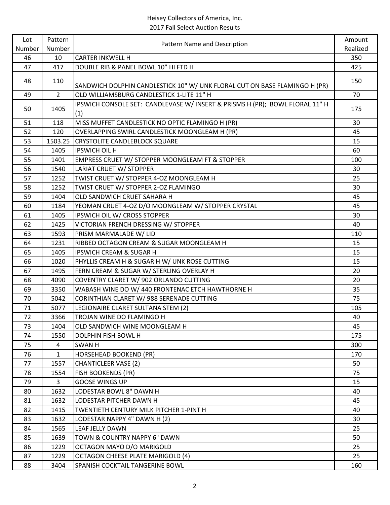| Lot    | Pattern        | Pattern Name and Description                                                        | Amount   |
|--------|----------------|-------------------------------------------------------------------------------------|----------|
| Number | Number         |                                                                                     | Realized |
| 46     | 10             | <b>CARTER INKWELL H</b>                                                             | 350      |
| 47     | 417            | DOUBLE RIB & PANEL BOWL 10" HI FTD H                                                | 425      |
| 48     | 110            |                                                                                     | 150      |
|        |                | SANDWICH DOLPHIN CANDLESTICK 10" W/ UNK FLORAL CUT ON BASE FLAMINGO H (PR)          |          |
| 49     | $\overline{2}$ | OLD WILLIAMSBURG CANDLESTICK 1-LITE 11" H                                           | 70       |
| 50     | 1405           | IPSWICH CONSOLE SET: CANDLEVASE W/ INSERT & PRISMS H (PR); BOWL FLORAL 11" H<br>(1) | 175      |
| 51     | 118            | MISS MUFFET CANDLESTICK NO OPTIC FLAMINGO H (PR)                                    | 30       |
| 52     | 120            | OVERLAPPING SWIRL CANDLESTICK MOONGLEAM H (PR)                                      | 45       |
| 53     | 1503.25        | <b>CRYSTOLITE CANDLEBLOCK SQUARE</b>                                                | 15       |
| 54     | 1405           | <b>IPSWICH OIL H</b>                                                                | 60       |
| 55     | 1401           | EMPRESS CRUET W/ STOPPER MOONGLEAM FT & STOPPER                                     | 100      |
| 56     | 1540           | LARIAT CRUET W/ STOPPER                                                             | 30       |
| 57     | 1252           | TWIST CRUET W/ STOPPER 4-OZ MOONGLEAM H                                             | 25       |
| 58     | 1252           | TWIST CRUET W/ STOPPER 2-OZ FLAMINGO                                                | 30       |
| 59     | 1404           | OLD SANDWICH CRUET SAHARA H                                                         | 45       |
| 60     | 1184           | YEOMAN CRUET 4-OZ D/O MOONGLEAM W/ STOPPER CRYSTAL                                  | 45       |
| 61     | 1405           | IPSWICH OIL W/ CROSS STOPPER                                                        | 30       |
| 62     | 1425           | VICTORIAN FRENCH DRESSING W/ STOPPER                                                | 40       |
| 63     | 1593           | PRISM MARMALADE W/ LID                                                              | 110      |
| 64     | 1231           | RIBBED OCTAGON CREAM & SUGAR MOONGLEAM H                                            | 15       |
| 65     | 1405           | <b>IPSWICH CREAM &amp; SUGAR H</b>                                                  | 15       |
| 66     | 1020           | PHYLLIS CREAM H & SUGAR H W/ UNK ROSE CUTTING                                       | 15       |
| 67     | 1495           | FERN CREAM & SUGAR W/ STERLING OVERLAY H                                            | 20       |
| 68     | 4090           | COVENTRY CLARET W/ 902 ORLANDO CUTTING                                              | 20       |
| 69     | 3350           | WABASH WINE DO W/ 440 FRONTENAC ETCH HAWTHORNE H                                    | 35       |
| 70     | 5042           | CORINTHIAN CLARET W/ 988 SERENADE CUTTING                                           | 75       |
| 71     | 5077           | LEGIONAIRE CLARET SULTANA STEM (2)                                                  | 105      |
| 72     | 3366           | TROJAN WINE DO FLAMINGO H                                                           | 40       |
| 73     | 1404           | OLD SANDWICH WINE MOONGLEAM H                                                       | 45       |
| 74     | 1550           | DOLPHIN FISH BOWL H                                                                 | 175      |
| 75     | $\overline{4}$ | <b>SWAN H</b>                                                                       | 300      |
| 76     | $\mathbf{1}$   | <b>HORSEHEAD BOOKEND (PR)</b>                                                       | 170      |
| 77     | 1557           | <b>CHANTICLEER VASE (2)</b>                                                         | 50       |
| 78     | 1554           | FISH BOOKENDS (PR)                                                                  | 75       |
| 79     | 3              | <b>GOOSE WINGS UP</b>                                                               | 15       |
| 80     | 1632           | LODESTAR BOWL 8" DAWN H                                                             | 40       |
| 81     | 1632           | LODESTAR PITCHER DAWN H                                                             | 45       |
| 82     | 1415           | TWENTIETH CENTURY MILK PITCHER 1-PINT H                                             | 40       |
| 83     | 1632           | LODESTAR NAPPY 4" DAWN H (2)                                                        | 30       |
| 84     | 1565           | LEAF JELLY DAWN                                                                     | 25       |
| 85     | 1639           | TOWN & COUNTRY NAPPY 6" DAWN                                                        | 50       |
| 86     | 1229           | OCTAGON MAYO D/O MARIGOLD                                                           | 25       |
| 87     | 1229           | <b>OCTAGON CHEESE PLATE MARIGOLD (4)</b>                                            | 25       |
|        |                |                                                                                     |          |
| 88     | 3404           | SPANISH COCKTAIL TANGERINE BOWL                                                     | 160      |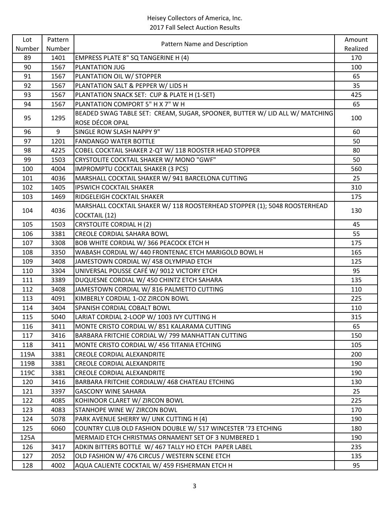| Lot    | Pattern | Pattern Name and Description                                                | Amount   |
|--------|---------|-----------------------------------------------------------------------------|----------|
| Number | Number  |                                                                             | Realized |
| 89     | 1401    | EMPRESS PLATE 8" SQ TANGERINE H (4)                                         | 170      |
| 90     | 1567    | PLANTATION JUG                                                              | 100      |
| 91     | 1567    | PLANTATION OIL W/ STOPPER                                                   | 65       |
| 92     | 1567    | PLANTATION SALT & PEPPER W/ LIDS H                                          | 35       |
| 93     | 1567    | PLANTATION SNACK SET: CUP & PLATE H (1-SET)                                 | 425      |
| 94     | 1567    | PLANTATION COMPORT 5" H X 7" W H                                            | 65       |
|        |         | BEADED SWAG TABLE SET: CREAM, SUGAR, SPOONER, BUTTER W/ LID ALL W/ MATCHING |          |
| 95     | 1295    | ROSE DÉCOR OPAL                                                             | 100      |
| 96     | 9       | SINGLE ROW SLASH NAPPY 9"                                                   | 60       |
| 97     | 1201    | <b>FANDANGO WATER BOTTLE</b>                                                | 50       |
| 98     | 4225    | COBEL COCKTAIL SHAKER 2-QT W/ 118 ROOSTER HEAD STOPPER                      | 80       |
| 99     | 1503    | CRYSTOLITE COCKTAIL SHAKER W/ MONO "GWF"                                    | 50       |
| 100    | 4004    | <b>IMPROMPTU COCKTAIL SHAKER (3 PCS)</b>                                    | 560      |
| 101    | 4036    | MARSHALL COCKTAIL SHAKER W/ 941 BARCELONA CUTTING                           | 25       |
| 102    | 1405    | <b>IPSWICH COCKTAIL SHAKER</b>                                              | 310      |
| 103    | 1469    | RIDGELEIGH COCKTAIL SHAKER                                                  | 175      |
| 104    | 4036    | MARSHALL COCKTAIL SHAKER W/ 118 ROOSTERHEAD STOPPER (1); 5048 ROOSTERHEAD   |          |
|        |         | <b>COCKTAIL (12)</b>                                                        | 130      |
| 105    | 1503    | <b>CRYSTOLITE CORDIAL H (2)</b>                                             | 45       |
| 106    | 3381    | <b>CREOLE CORDIAL SAHARA BOWL</b>                                           | 55       |
| 107    | 3308    | BOB WHITE CORDIAL W/366 PEACOCK ETCH H                                      | 175      |
| 108    | 3350    | WABASH CORDIAL W/ 440 FRONTENAC ETCH MARIGOLD BOWL H                        | 165      |
| 109    | 3408    | JAMESTOWN CORDIAL W/ 458 OLYMPIAD ETCH                                      | 125      |
| 110    | 3304    | UNIVERSAL POUSSE CAFÉ W/ 9012 VICTORY ETCH                                  | 95       |
| 111    | 3389    | DUQUESNE CORDIAL W/ 450 CHINTZ ETCH SAHARA                                  | 135      |
| 112    | 3408    | JAMESTOWN CORDIAL W/816 PALMETTO CUTTING                                    | 110      |
| 113    | 4091    | KIMBERLY CORDIAL 1-OZ ZIRCON BOWL                                           | 225      |
| 114    | 3404    | SPANISH CORDIAL COBALT BOWL                                                 | 110      |
| 115    | 5040    | LARIAT CORDIAL 2-LOOP W/ 1003 IVY CUTTING H                                 | 315      |
| 116    | 3411    | MONTE CRISTO CORDIAL W/851 KALARAMA CUTTING                                 | 65       |
| 117    | 3416    | BARBARA FRITCHIE CORDIAL W/ 799 MANHATTAN CUTTING                           | 150      |
| 118    | 3411    | MONTE CRISTO CORDIAL W/ 456 TITANIA ETCHING                                 | 105      |
| 119A   | 3381    | <b>CREOLE CORDIAL ALEXANDRITE</b>                                           | 200      |
| 119B   | 3381    | <b>CREOLE CORDIAL ALEXANDRITE</b>                                           | 190      |
| 119C   | 3381    | <b>CREOLE CORDIAL ALEXANDRITE</b>                                           | 190      |
| 120    | 3416    | BARBARA FRITCHIE CORDIALW/ 468 CHATEAU ETCHING                              | 130      |
| 121    | 3397    | <b>GASCONY WINE SAHARA</b>                                                  | 25       |
| 122    | 4085    | KOHINOOR CLARET W/ ZIRCON BOWL                                              | 225      |
| 123    | 4083    | STANHOPE WINE W/ ZIRCON BOWL                                                | 170      |
| 124    | 5078    | PARK AVENUE SHERRY W/ UNK CUTTING H (4)                                     | 190      |
| 125    | 6060    | COUNTRY CLUB OLD FASHION DOUBLE W/ 517 WINCESTER '73 ETCHING                | 180      |
| 125A   |         | MERMAID ETCH CHRISTMAS ORNAMENT SET OF 3 NUMBERED 1                         | 190      |
| 126    | 3417    | ADKIN BITTERS BOTTLE W/ 467 TALLY HO ETCH PAPER LABEL                       | 235      |
| 127    | 2052    | OLD FASHION W/ 476 CIRCUS / WESTERN SCENE ETCH                              | 135      |
| 128    | 4002    | AQUA CALIENTE COCKTAIL W/ 459 FISHERMAN ETCH H                              | 95       |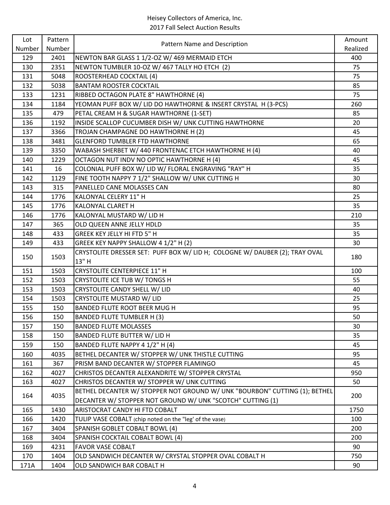| Lot    | Pattern | Pattern Name and Description                                                         | Amount   |
|--------|---------|--------------------------------------------------------------------------------------|----------|
| Number | Number  |                                                                                      | Realized |
| 129    | 2401    | NEWTON BAR GLASS 1 1/2-OZ W/ 469 MERMAID ETCH                                        | 400      |
| 130    | 2351    | NEWTON TUMBLER 10-OZ W/ 467 TALLY HO ETCH (2)                                        | 75       |
| 131    | 5048    | ROOSTERHEAD COCKTAIL (4)                                                             | 75       |
| 132    | 5038    | <b>BANTAM ROOSTER COCKTAIL</b>                                                       | 85       |
| 133    | 1231    | RIBBED OCTAGON PLATE 8" HAWTHORNE (4)                                                | 75       |
| 134    | 1184    | YEOMAN PUFF BOX W/ LID DO HAWTHORNE & INSERT CRYSTAL H (3-PCS)                       | 260      |
| 135    | 479     | PETAL CREAM H & SUGAR HAWTHORNE (1-SET)                                              | 85       |
| 136    | 1192    | INSIDE SCALLOP CUCUMBER DISH W/ UNK CUTTING HAWTHORNE                                | 20       |
| 137    | 3366    | TROJAN CHAMPAGNE DO HAWTHORNE H (2)                                                  | 45       |
| 138    | 3481    | <b>GLENFORD TUMBLER FTD HAWTHORNE</b>                                                | 65       |
| 139    | 3350    | WABASH SHERBET W/ 440 FRONTENAC ETCH HAWTHORNE H (4)                                 | 40       |
| 140    | 1229    | OCTAGON NUT INDV NO OPTIC HAWTHORNE H (4)                                            | 45       |
| 141    | 16      | COLONIAL PUFF BOX W/ LID W/ FLORAL ENGRAVING "RAY" H                                 | 35       |
| 142    | 1129    | FINE TOOTH NAPPY 7 1/2" SHALLOW W/ UNK CUTTING H                                     | 30       |
| 143    | 315     | PANELLED CANE MOLASSES CAN                                                           | 80       |
| 144    | 1776    | KALONYAL CELERY 11" H                                                                | 25       |
| 145    | 1776    | KALONYAL CLARET H                                                                    | 35       |
| 146    | 1776    | KALONYAL MUSTARD W/ LID H                                                            | 210      |
| 147    | 365     | OLD QUEEN ANNE JELLY HDLD                                                            | 35       |
| 148    | 433     | GREEK KEY JELLY HI FTD 5" H                                                          | 35       |
| 149    | 433     | GREEK KEY NAPPY SHALLOW 4 1/2" H (2)                                                 | 30       |
| 150    | 1503    | CRYSTOLITE DRESSER SET: PUFF BOX W/ LID H; COLOGNE W/ DAUBER (2); TRAY OVAL<br>13" H | 180      |
| 151    | 1503    | <b>CRYSTOLITE CENTERPIECE 11" H</b>                                                  | 100      |
| 152    | 1503    | CRYSTOLITE ICE TUB W/ TONGS H                                                        | 55       |
| 153    | 1503    | CRYSTOLITE CANDY SHELL W/ LID                                                        | 40       |
| 154    | 1503    | <b>CRYSTOLITE MUSTARD W/ LID</b>                                                     | 25       |
| 155    | 150     | BANDED FLUTE ROOT BEER MUG H                                                         | 95       |
| 156    | 150     | <b>BANDED FLUTE TUMBLER H (3)</b>                                                    | 50       |
| 157    | 150     | <b>BANDED FLUTE MOLASSES</b>                                                         | 30       |
| 158    | 150     | <b>BANDED FLUTE BUTTER W/ LID H</b>                                                  | 35       |
| 159    | 150     | BANDED FLUTE NAPPY 4 1/2" H (4)                                                      | 45       |
| 160    | 4035    | BETHEL DECANTER W/ STOPPER W/ UNK THISTLE CUTTING                                    | 95       |
| 161    | 367     | PRISM BAND DECANTER W/ STOPPER FLAMINGO                                              | 45       |
| 162    | 4027    | CHRISTOS DECANTER ALEXANDRITE W/ STOPPER CRYSTAL                                     | 950      |
| 163    | 4027    | CHRISTOS DECANTER W/ STOPPER W/ UNK CUTTING                                          | 50       |
|        |         | BETHEL DECANTER W/ STOPPER NOT GROUND W/ UNK "BOURBON" CUTTING (1); BETHEL           |          |
| 164    | 4035    | DECANTER W/ STOPPER NOT GROUND W/ UNK "SCOTCH" CUTTING (1)                           | 200      |
| 165    | 1430    | ARISTOCRAT CANDY HI FTD COBALT                                                       | 1750     |
| 166    | 1420    | TULIP VASE COBALT (chip noted on the "leg' of the vase)                              | 100      |
| 167    | 3404    | SPANISH GOBLET COBALT BOWL (4)                                                       | 200      |
| 168    | 3404    | SPANISH COCKTAIL COBALT BOWL (4)                                                     | 200      |
| 169    | 4231    | <b>FAVOR VASE COBALT</b>                                                             | 90       |
| 170    | 1404    | OLD SANDWICH DECANTER W/ CRYSTAL STOPPER OVAL COBALT H                               | 750      |
| 171A   | 1404    | OLD SANDWICH BAR COBALT H                                                            | 90       |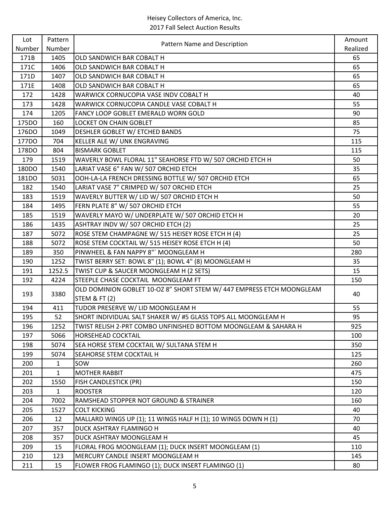| Lot    | Pattern      | Pattern Name and Description                                          | Amount   |
|--------|--------------|-----------------------------------------------------------------------|----------|
| Number | Number       |                                                                       | Realized |
| 171B   | 1405         | OLD SANDWICH BAR COBALT H                                             | 65       |
| 171C   | 1406         | OLD SANDWICH BAR COBALT H                                             | 65       |
| 171D   | 1407         | OLD SANDWICH BAR COBALT H                                             | 65       |
| 171E   | 1408         | OLD SANDWICH BAR COBALT H                                             | 65       |
| 172    | 1428         | WARWICK CORNUCOPIA VASE INDV COBALT H                                 | 40       |
| 173    | 1428         | WARWICK CORNUCOPIA CANDLE VASE COBALT H                               | 55       |
| 174    | 1205         | FANCY LOOP GOBLET EMERALD WORN GOLD                                   | 90       |
| 175DO  | 160          | <b>LOCKET ON CHAIN GOBLET</b>                                         | 85       |
| 176DO  | 1049         | DESHLER GOBLET W/ ETCHED BANDS                                        | 75       |
| 177DO  | 704          | KELLER ALE W/ UNK ENGRAVING                                           | 115      |
| 178DO  | 804          | <b>BISMARK GOBLET</b>                                                 | 115      |
| 179    | 1519         | WAVERLY BOWL FLORAL 11" SEAHORSE FTD W/ 507 ORCHID ETCH H             | 50       |
| 180DO  | 1540         | LARIAT VASE 6" FAN W/ 507 ORCHID ETCH                                 | 35       |
| 181DO  | 5031         | OOH-LA-LA FRENCH DRESSING BOTTLE W/ 507 ORCHID ETCH                   | 65       |
| 182    | 1540         | LARIAT VASE 7" CRIMPED W/ 507 ORCHID ETCH                             | 25       |
| 183    | 1519         | WAVERLY BUTTER W/ LID W/ 507 ORCHID ETCH H                            | 50       |
| 184    | 1495         | FERN PLATE 8" W/ 507 ORCHID ETCH                                      | 55       |
| 185    | 1519         | WAVERLY MAYO W/ UNDERPLATE W/ 507 ORCHID ETCH H                       | 20       |
| 186    | 1435         | ASHTRAY INDV W/ 507 ORCHID ETCH (2)                                   | 25       |
| 187    | 5072         | ROSE STEM CHAMPAGNE W/ 515 HEISEY ROSE ETCH H (4)                     | 25       |
| 188    | 5072         | ROSE STEM COCKTAIL W/ 515 HEISEY ROSE ETCH H (4)                      | 50       |
| 189    | 350          | PINWHEEL & FAN NAPPY 8" MOONGLEAM H                                   | 280      |
| 190    | 1252         | TWIST BERRY SET: BOWL 8" (1); BOWL 4" (8) MOONGLEAM H                 | 35       |
| 191    | 1252.5       | TWIST CUP & SAUCER MOONGLEAM H (2 SETS)                               | 15       |
| 192    | 4224         | STEEPLE CHASE COCKTAIL MOONGLEAM FT                                   | 150      |
| 193    | 3380         | OLD DOMINION GOBLET 10-OZ 8" SHORT STEM W/ 447 EMPRESS ETCH MOONGLEAM | 40       |
|        |              | <b>STEM &amp; FT (2)</b>                                              |          |
| 194    | 411          | TUDOR PRESERVE W/ LID MOONGLEAM H                                     | 55       |
| 195    | 52           | SHORT INDIVIDUAL SALT SHAKER W/ #5 GLASS TOPS ALL MOONGLEAM H         | 95       |
| 196    | 1252         | TWIST RELISH 2-PRT COMBO UNFINISHED BOTTOM MOONGLEAM & SAHARA H       | 925      |
| 197    | 5066         | HORSEHEAD COCKTAIL                                                    | 100      |
| 198    | 5074         | SEA HORSE STEM COCKTAIL W/ SULTANA STEM H                             | 350      |
| 199    | 5074         | SEAHORSE STEM COCKTAIL H                                              | 125      |
| 200    | $\mathbf{1}$ | SOW                                                                   | 260      |
| 201    | $\mathbf{1}$ | <b>MOTHER RABBIT</b>                                                  | 475      |
| 202    | 1550         | FISH CANDLESTICK (PR)                                                 | 150      |
| 203    | $\mathbf{1}$ | <b>ROOSTER</b>                                                        | 120      |
| 204    | 7002         | RAMSHEAD STOPPER NOT GROUND & STRAINER                                | 160      |
| 205    | 1527         | <b>COLT KICKING</b>                                                   | 40       |
| 206    | 12           | MALLARD WINGS UP (1); 11 WINGS HALF H (1); 10 WINGS DOWN H (1)        | 70       |
| 207    | 357          | DUCK ASHTRAY FLAMINGO H                                               | 40       |
| 208    | 357          | DUCK ASHTRAY MOONGLEAM H                                              | 45       |
| 209    | 15           | FLORAL FROG MOONGLEAM (1); DUCK INSERT MOONGLEAM (1)                  | 110      |
| 210    | 123          | MERCURY CANDLE INSERT MOONGLEAM H                                     | 145      |
| 211    | 15           | FLOWER FROG FLAMINGO (1); DUCK INSERT FLAMINGO (1)                    | 80       |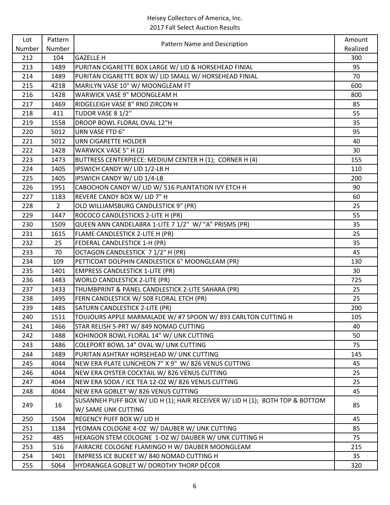| Lot    | Pattern        | Pattern Name and Description                                                  | Amount   |
|--------|----------------|-------------------------------------------------------------------------------|----------|
| Number | Number         |                                                                               | Realized |
| 212    | 104            | <b>GAZELLE H</b>                                                              | 300      |
| 213    | 1489           | PURITAN CIGARETTE BOX LARGE W/ LID & HORSEHEAD FINIAL                         | 95       |
| 214    | 1489           | PURITAN CIGARETTE BOX W/ LID SMALL W/ HORSEHEAD FINIAL                        | 70       |
| 215    | 4218           | MARILYN VASE 10" W/ MOONGLEAM FT                                              | 600      |
| 216    | 1428           | WARWICK VASE 9" MOONGLEAM H                                                   | 800      |
| 217    | 1469           | RIDGELEIGH VASE 8" RND ZIRCON H                                               | 85       |
| 218    | 411            | TUDOR VASE 8 1/2"                                                             | 55       |
| 219    | 1558           | DROOP BOWL FLORAL OVAL 12"H                                                   | 35       |
| 220    | 5012           | URN VASE FTD 6"                                                               | 95       |
| 221    | 5012           | <b>URN CIGARETTE HOLDER</b>                                                   | 40       |
| 222    | 1428           | WARWICK VASE 5" H (2)                                                         | 30       |
| 223    | 1473           | BUTTRESS CENTERPIECE: MEDIUM CENTER H (1); CORNER H (4)                       | 155      |
| 224    | 1405           | IPSWICH CANDY W/ LID 1/2-LB H                                                 | 110      |
| 225    | 1405           | IPSWICH CANDY W/ LID 1/4-LB                                                   | 200      |
| 226    | 1951           | CABOCHON CANDY W/ LID W/ 516 PLANTATION IVY ETCH H                            | 90       |
| 227    | 1183           | REVERE CANDY BOX W/ LID 7" H                                                  | 60       |
| 228    | $\overline{2}$ | OLD WILLIAMSBURG CANDLESTICK 9" (PR)                                          | 25       |
| 229    | 1447           | ROCOCO CANDLESTICKS 2-LITE H (PR)                                             | 55       |
| 230    | 1509           | QUEEN ANN CANDELABRA 1-LITE 7 1/2" W/ "A" PRISMS (PR)                         | 35       |
| 231    | 1615           | FLAME CANDLESTICK 2-LITE H (PR)                                               | 25       |
| 232    | 25             | FEDERAL CANDLESTICK 1-H (PR)                                                  | 35       |
| 233    | 70             | OCTAGON CANDLESTICK 7 1/2" H (PR)                                             | 45       |
| 234    | 109            | PETTICOAT DOLPHIN CANDLESTICK 6" MOONGLEAM (PR)                               | 130      |
| 235    | 1401           | <b>EMPRESS CANDLESTICK 1-LITE (PR)</b>                                        | 30       |
| 236    | 1483           | <b>WORLD CANDLESTICK 2-LITE (PR)</b>                                          | 725      |
| 237    | 1433           | THUMBPRINT & PANEL CANDLESTICK 2-LITE SAHARA (PR)                             | 25       |
| 238    | 1495           | FERN CANDLESTICK W/ 508 FLORAL ETCH (PR)                                      | 25       |
| 239    | 1485           | SATURN CANDLESTICK 2-LITE (PR)                                                | 200      |
| 240    | 1511           | TOUJOURS APPLE MARMALADE W/ #7 SPOON W/893 CARLTON CUTTING H                  | 105      |
| 241    | 1466           | STAR RELISH 5-PRT W/849 NOMAD CUTTING                                         | 40       |
| 242    | 1488           | KOHINOOR BOWL FLORAL 14" W/ UNK CUTTING                                       | 50       |
| 243    | 1486           | COLEPORT BOWL 14" OVAL W/ UNK CUTTING                                         | 75       |
| 244    | 1489           | PURITAN ASHTRAY HORSEHEAD W/ UNK CUTTING                                      | 145      |
| 245    | 4044           | NEW ERA PLATE LUNCHEON 7" X 9" W/ 826 VENUS CUTTING                           | 45       |
| 246    | 4044           | NEW ERA OYSTER COCKTAIL W/826 VENUS CUTTING                                   | 25       |
| 247    | 4044           | NEW ERA SODA / ICE TEA 12-OZ W/826 VENUS CUTTING                              | 25       |
| 248    | 4044           | NEW ERA GOBLET W/826 VENUS CUTTING                                            | 45       |
| 249    | 16             | SUSANNEH PUFF BOX W/ LID H (1); HAIR RECEIVER W/ LID H (1); BOTH TOP & BOTTOM | 85       |
|        |                | W/ SAME UNK CUTTING                                                           |          |
| 250    | 1504           | REGENCY PUFF BOX W/ LID H                                                     | 45       |
| 251    | 1184           | YEOMAN COLOGNE 4-OZ W/ DAUBER W/ UNK CUTTING                                  | 85       |
| 252    | 485            | HEXAGON STEM COLOGNE 1-OZ W/ DAUBER W/ UNK CUTTING H                          | 75       |
| 253    | 516            | FAIRACRE COLOGNE FLAMINGO H W/ DAUBER MOONGLEAM                               | 215      |
| 254    | 1401           | EMPRESS ICE BUCKET W/840 NOMAD CUTTING H                                      | 35       |
| 255    | 5064           | HYDRANGEA GOBLET W/ DOROTHY THORP DÉCOR                                       | 320      |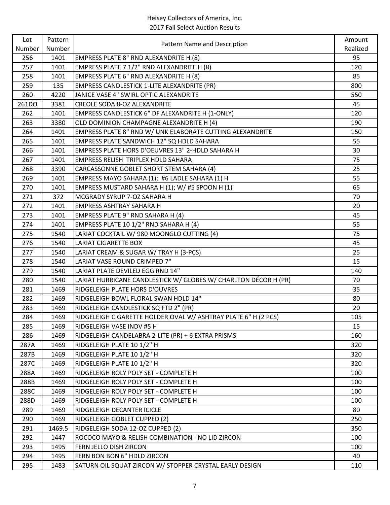| Lot    | Pattern | Pattern Name and Description                                    | Amount   |
|--------|---------|-----------------------------------------------------------------|----------|
| Number | Number  |                                                                 | Realized |
| 256    | 1401    | EMPRESS PLATE 8" RND ALEXANDRITE H (8)                          | 95       |
| 257    | 1401    | EMPRESS PLATE 7 1/2" RND ALEXANDRITE H (8)                      | 120      |
| 258    | 1401    | EMPRESS PLATE 6" RND ALEXANDRITE H (8)                          | 85       |
| 259    | 135     | <b>EMPRESS CANDLESTICK 1-LITE ALEXANDRITE (PR)</b>              | 800      |
| 260    | 4220    | JANICE VASE 4" SWIRL OPTIC ALEXANDRITE                          | 550      |
| 261DO  | 3381    | <b>CREOLE SODA 8-OZ ALEXANDRITE</b>                             | 45       |
| 262    | 1401    | EMPRESS CANDLESTICK 6" DF ALEXANDRITE H (1-ONLY)                | 120      |
| 263    | 3380    | OLD DOMINION CHAMPAGNE ALEXANDRITE H (4)                        | 190      |
| 264    | 1401    | EMPRESS PLATE 8" RND W/ UNK ELABORATE CUTTING ALEXANDRITE       | 150      |
| 265    | 1401    | EMPRESS PLATE SANDWICH 12" SQ HDLD SAHARA                       | 55       |
| 266    | 1401    | EMPRESS PLATE HORS D'OEUVRES 13" 2-HDLD SAHARA H                | 30       |
| 267    | 1401    | EMPRESS RELISH TRIPLEX HDLD SAHARA                              | 75       |
| 268    | 3390    | CARCASSONNE GOBLET SHORT STEM SAHARA (4)                        | 25       |
| 269    | 1401    | EMPRESS MAYO SAHARA (1); #6 LADLE SAHARA (1) H                  | 55       |
| 270    | 1401    | EMPRESS MUSTARD SAHARA H (1); W/ #5 SPOON H (1)                 | 65       |
| 271    | 372     | MCGRADY SYRUP 7-OZ SAHARA H                                     | 70       |
| 272    | 1401    | <b>EMPRESS ASHTRAY SAHARA H</b>                                 | 20       |
| 273    | 1401    | EMPRESS PLATE 9" RND SAHARA H (4)                               | 45       |
| 274    | 1401    | EMPRESS PLATE 10 1/2" RND SAHARA H (4)                          | 55       |
| 275    | 1540    | LARIAT COCKTAIL W/ 980 MOONGLO CUTTING (4)                      | 75       |
| 276    | 1540    | <b>LARIAT CIGARETTE BOX</b>                                     | 45       |
| 277    | 1540    | LARIAT CREAM & SUGAR W/ TRAY H (3-PCS)                          | 25       |
| 278    | 1540    | LARIAT VASE ROUND CRIMPED 7"                                    | 15       |
| 279    | 1540    | LARIAT PLATE DEVILED EGG RND 14"                                | 140      |
| 280    | 1540    | LARIAT HURRICANE CANDLESTICK W/ GLOBES W/ CHARLTON DÉCOR H (PR) | 70       |
| 281    | 1469    | RIDGELEIGH PLATE HORS D'OUVRES                                  | 35       |
| 282    | 1469    | RIDGELEIGH BOWL FLORAL SWAN HDLD 14"                            | 80       |
| 283    | 1469    | RIDGELEIGH CANDLESTICK SQ FTD 2" (PR)                           | 20       |
| 284    | 1469    | RIDGELEIGH CIGARETTE HOLDER OVAL W/ ASHTRAY PLATE 6" H (2 PCS)  | 105      |
| 285    | 1469    | RIDGELEIGH VASE INDV #5 H                                       | 15       |
| 286    | 1469    | RIDGELEIGH CANDELABRA 2-LITE (PR) + 6 EXTRA PRISMS              | 160      |
| 287A   | 1469    | RIDGELEIGH PLATE 10 1/2" H                                      | 320      |
| 287B   | 1469    | RIDGELEIGH PLATE 10 1/2" H                                      | 320      |
| 287C   | 1469    | RIDGELEIGH PLATE 10 1/2" H                                      | 320      |
| 288A   | 1469    | RIDGELEIGH ROLY POLY SET - COMPLETE H                           | 100      |
| 288B   | 1469    | RIDGELEIGH ROLY POLY SET - COMPLETE H                           | 100      |
| 288C   | 1469    | RIDGELEIGH ROLY POLY SET - COMPLETE H                           | 100      |
| 288D   | 1469    | RIDGELEIGH ROLY POLY SET - COMPLETE H                           | 100      |
| 289    | 1469    | RIDGELEIGH DECANTER ICICLE                                      | 80       |
| 290    | 1469    | RIDGELEIGH GOBLET CUPPED (2)                                    | 250      |
| 291    | 1469.5  | RIDGELEIGH SODA 12-OZ CUPPED (2)                                | 350      |
| 292    | 1447    | ROCOCO MAYO & RELISH COMBINATION - NO LID ZIRCON                | 100      |
| 293    | 1495    | FERN JELLO DISH ZIRCON                                          | 100      |
| 294    | 1495    | FERN BON BON 6" HDLD ZIRCON                                     | 40       |
| 295    | 1483    | SATURN OIL SQUAT ZIRCON W/ STOPPER CRYSTAL EARLY DESIGN         | 110      |